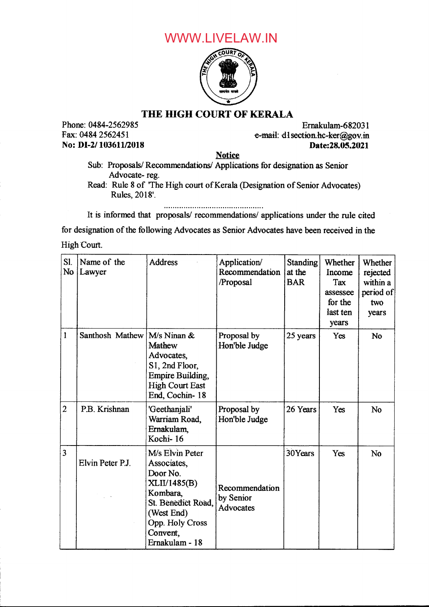## WWW.LIVELAW.IN



## THE HIGH COURT OF KERALA

Phone: 0484-2562985 Fax: 0484 2562451 No: DI-2/103611/2018

Ernakulam-682031 e-mail: d1 section.hc-ker@gov.in Date:28.05.2021

**Notice** 

Sub: Proposals/Recommendations/Applications for designation as Senior Advocate- reg.

Read: Rule 8 of 'The High court of Kerala (Designation of Senior Advocates) Rules, 2018'.

It is informed that proposals/ recommendations/ applications under the rule cited

for designation of the following Advocates as Senior Advocates have been received in the

High Court.

| S1.<br>No      | Name of the<br>Lawyer       | <b>Address</b>                                                                                                                                              | Application/<br>Recommendation<br>/Proposal | <b>Standing</b><br>at the<br><b>BAR</b> | Whether<br>Income<br>Tax<br>assessee<br>for the<br>last ten<br>years | Whether<br>rejected<br>within a<br>period of<br>two<br>years |
|----------------|-----------------------------|-------------------------------------------------------------------------------------------------------------------------------------------------------------|---------------------------------------------|-----------------------------------------|----------------------------------------------------------------------|--------------------------------------------------------------|
| 1              | Santhosh Mathew M/s Ninan & | Mathew<br>Advocates,<br>S1, 2nd Floor,<br><b>Empire Building,</b><br><b>High Court East</b><br>End, Cochin-18                                               | Proposal by<br>Hon'ble Judge                | 25 years                                | Yes                                                                  | <b>No</b>                                                    |
| $\overline{c}$ | P.B. Krishnan               | 'Geethanjali'<br>Warriam Road,<br>Ernakulam.<br>Kochi-16                                                                                                    | Proposal by<br>Hon'ble Judge                | 26 Years                                | Yes                                                                  | N <sub>o</sub>                                               |
| $\overline{3}$ | Elvin Peter P.J.            | M/s Elvin Peter<br>Associates,<br>Door No.<br>XLII/1485(B)<br>Kombara,<br>St. Benedict Road.<br>(West End)<br>Opp. Holy Cross<br>Convent,<br>Ernakulam - 18 | Recommendation<br>by Senior<br>Advocates    | 30Years                                 | Yes                                                                  | <b>No</b>                                                    |